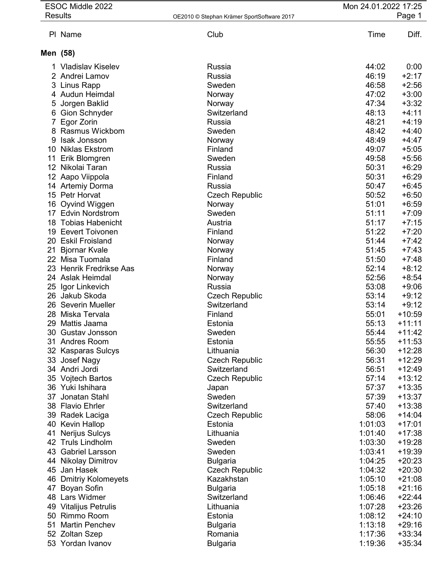| Club<br>Time<br>Diff.<br>PI Name<br>Men (58)<br>0:00<br>1 Vladislav Kiselev<br>Russia<br>44:02<br>46:19<br>$+2:17$<br>2 Andrei Lamov<br>Russia<br>46:58<br>$+2:56$<br>3 Linus Rapp<br>Sweden<br>47:02<br>$+3:00$<br>4 Audun Heimdal<br>Norway<br>$+3:32$<br>47:34<br>Jorgen Baklid<br>5<br>Norway<br>48:13<br>$+4:11$<br>6 Gion Schnyder<br>Switzerland<br>48:21<br>$+4:19$<br>Egor Zorin<br>Russia<br>8 Rasmus Wickbom<br>48:42<br>$+4:40$<br>Sweden<br>48:49<br>$+4:47$<br>9 Isak Jonsson<br>Norway<br>Finland<br>$+5:05$<br>10 Niklas Ekstrom<br>49:07<br>49:58<br>$+5:56$<br>11 Erik Blomgren<br>Sweden<br>$+6:29$<br>50:31<br>12 Nikolai Taran<br>Russia<br>$+6:29$<br>12 Aapo Viippola<br>50:31<br>Finland<br>50:47<br>$+6:45$<br>Russia<br>14 Artemiy Dorma<br>50:52<br>$+6:50$<br>15 Petr Horvat<br><b>Czech Republic</b><br>51:01<br>$+6:59$<br>16 Oyvind Wiggen<br>Norway<br>51:11<br>$+7:09$<br><b>Edvin Nordstrom</b><br>17<br>Sweden<br>51:17<br>$+7:15$<br><b>Tobias Habenicht</b><br>Austria<br>18<br>51:22<br>$+7:20$<br><b>Eevert Toivonen</b><br>Finland<br>19<br>51:44<br><b>Eskil Froisland</b><br>$+7:42$<br>20<br>Norway<br>51:45<br>$+7:43$<br><b>Bjornar Kvale</b><br>21<br>Norway<br>51:50<br>22 Misa Tuomala<br>$+7:48$<br>Finland<br>52:14<br>$+8:12$<br>23 Henrik Fredrikse Aas<br>Norway<br>52:56<br>$+8:54$<br>24 Aslak Heimdal<br>Norway<br>53:08<br>$+9:06$<br>Russia<br>25<br>Igor Linkevich<br>$+9:12$<br>26<br>Jakub Skoda<br>53:14<br><b>Czech Republic</b><br>53:14<br>$+9:12$<br>Severin Mueller<br>Switzerland<br>26<br>55:01<br>$+10:59$<br>28 Miska Tervala<br>Finland<br>Mattis Jaama<br>55:13<br>$+11:11$<br>29<br>Estonia<br>55:44<br>$+11:42$<br>30 Gustav Jonsson<br>Sweden<br>55:55<br>Andres Room<br>Estonia<br>$+11:53$<br>31<br>56:30<br>$+12:28$<br>Lithuania<br>32 <sub>2</sub><br>Kasparas Sulcys<br>56:31<br>$+12:29$<br>Josef Nagy<br><b>Czech Republic</b><br>33<br>Andri Jordi<br>56:51<br>$+12:49$<br>34<br>Switzerland<br>57:14<br>$+13:12$<br>35 Vojtech Bartos<br><b>Czech Republic</b><br>36 Yuki Ishihara<br>57:37<br>$+13:35$<br>Japan<br>Jonatan Stahl<br>57:39<br>$+13:37$<br>Sweden<br>37<br>57:40<br>$+13:38$<br>38 Flavio Ehrler<br>Switzerland<br><b>Czech Republic</b><br>58:06<br>$+14:04$<br>39 Radek Laciga<br>1:01:03<br>$+17:01$<br>40 Kevin Hallop<br>Estonia<br>$+17:38$<br>Nerijus Sulcys<br>Lithuania<br>1:01:40<br>41<br><b>Truls Lindholm</b><br>1:03:30<br>$+19:28$<br>Sweden<br>42<br><b>Gabriel Larsson</b><br>1:03:41<br>$+19:39$<br>43<br>Sweden<br>$+20:23$<br>44 Nikolay Dimitrov<br>1:04:25<br><b>Bulgaria</b><br><b>Czech Republic</b><br>1:04:32<br>$+20:30$<br>45 Jan Hasek<br>46 Dmitriy Kolomeyets<br>1:05:10<br>$+21:08$<br>Kazakhstan<br>Boyan Sofin<br><b>Bulgaria</b><br>1:05:18<br>$+21:16$<br>47<br>48 Lars Widmer<br>1:06:46<br>$+22:44$<br>Switzerland<br>$+23:26$<br>1:07:28<br>Vitalijus Petrulis<br>Lithuania<br>49<br>$+24:10$<br>1:08:12<br>50 Rimmo Room<br>Estonia<br>1:13:18<br>$+29:16$<br><b>Martin Penchev</b><br>51<br><b>Bulgaria</b><br>1:17:36<br>$+33:34$<br>52 Zoltan Szep<br>Romania<br>53 Yordan Ivanov | ESOC Middle 2022<br><b>Results</b> | OE2010 © Stephan Krämer SportSoftware 2017 | Mon 24.01.2022 17:25 | Page 1   |
|-----------------------------------------------------------------------------------------------------------------------------------------------------------------------------------------------------------------------------------------------------------------------------------------------------------------------------------------------------------------------------------------------------------------------------------------------------------------------------------------------------------------------------------------------------------------------------------------------------------------------------------------------------------------------------------------------------------------------------------------------------------------------------------------------------------------------------------------------------------------------------------------------------------------------------------------------------------------------------------------------------------------------------------------------------------------------------------------------------------------------------------------------------------------------------------------------------------------------------------------------------------------------------------------------------------------------------------------------------------------------------------------------------------------------------------------------------------------------------------------------------------------------------------------------------------------------------------------------------------------------------------------------------------------------------------------------------------------------------------------------------------------------------------------------------------------------------------------------------------------------------------------------------------------------------------------------------------------------------------------------------------------------------------------------------------------------------------------------------------------------------------------------------------------------------------------------------------------------------------------------------------------------------------------------------------------------------------------------------------------------------------------------------------------------------------------------------------------------------------------------------------------------------------------------------------------------------------------------------------------------------------------------------------------------------------------------------------------------------------------------------------------------------------------------------------------------------------------------------------------------------------------------------------------------------------------------------------------------------------------------------------------------------------------------------------------------------------------------------------------------------------|------------------------------------|--------------------------------------------|----------------------|----------|
|                                                                                                                                                                                                                                                                                                                                                                                                                                                                                                                                                                                                                                                                                                                                                                                                                                                                                                                                                                                                                                                                                                                                                                                                                                                                                                                                                                                                                                                                                                                                                                                                                                                                                                                                                                                                                                                                                                                                                                                                                                                                                                                                                                                                                                                                                                                                                                                                                                                                                                                                                                                                                                                                                                                                                                                                                                                                                                                                                                                                                                                                                                                                   |                                    |                                            |                      |          |
|                                                                                                                                                                                                                                                                                                                                                                                                                                                                                                                                                                                                                                                                                                                                                                                                                                                                                                                                                                                                                                                                                                                                                                                                                                                                                                                                                                                                                                                                                                                                                                                                                                                                                                                                                                                                                                                                                                                                                                                                                                                                                                                                                                                                                                                                                                                                                                                                                                                                                                                                                                                                                                                                                                                                                                                                                                                                                                                                                                                                                                                                                                                                   |                                    |                                            |                      |          |
|                                                                                                                                                                                                                                                                                                                                                                                                                                                                                                                                                                                                                                                                                                                                                                                                                                                                                                                                                                                                                                                                                                                                                                                                                                                                                                                                                                                                                                                                                                                                                                                                                                                                                                                                                                                                                                                                                                                                                                                                                                                                                                                                                                                                                                                                                                                                                                                                                                                                                                                                                                                                                                                                                                                                                                                                                                                                                                                                                                                                                                                                                                                                   |                                    |                                            |                      |          |
|                                                                                                                                                                                                                                                                                                                                                                                                                                                                                                                                                                                                                                                                                                                                                                                                                                                                                                                                                                                                                                                                                                                                                                                                                                                                                                                                                                                                                                                                                                                                                                                                                                                                                                                                                                                                                                                                                                                                                                                                                                                                                                                                                                                                                                                                                                                                                                                                                                                                                                                                                                                                                                                                                                                                                                                                                                                                                                                                                                                                                                                                                                                                   |                                    |                                            |                      |          |
|                                                                                                                                                                                                                                                                                                                                                                                                                                                                                                                                                                                                                                                                                                                                                                                                                                                                                                                                                                                                                                                                                                                                                                                                                                                                                                                                                                                                                                                                                                                                                                                                                                                                                                                                                                                                                                                                                                                                                                                                                                                                                                                                                                                                                                                                                                                                                                                                                                                                                                                                                                                                                                                                                                                                                                                                                                                                                                                                                                                                                                                                                                                                   |                                    |                                            |                      |          |
|                                                                                                                                                                                                                                                                                                                                                                                                                                                                                                                                                                                                                                                                                                                                                                                                                                                                                                                                                                                                                                                                                                                                                                                                                                                                                                                                                                                                                                                                                                                                                                                                                                                                                                                                                                                                                                                                                                                                                                                                                                                                                                                                                                                                                                                                                                                                                                                                                                                                                                                                                                                                                                                                                                                                                                                                                                                                                                                                                                                                                                                                                                                                   |                                    |                                            |                      |          |
|                                                                                                                                                                                                                                                                                                                                                                                                                                                                                                                                                                                                                                                                                                                                                                                                                                                                                                                                                                                                                                                                                                                                                                                                                                                                                                                                                                                                                                                                                                                                                                                                                                                                                                                                                                                                                                                                                                                                                                                                                                                                                                                                                                                                                                                                                                                                                                                                                                                                                                                                                                                                                                                                                                                                                                                                                                                                                                                                                                                                                                                                                                                                   |                                    |                                            |                      |          |
|                                                                                                                                                                                                                                                                                                                                                                                                                                                                                                                                                                                                                                                                                                                                                                                                                                                                                                                                                                                                                                                                                                                                                                                                                                                                                                                                                                                                                                                                                                                                                                                                                                                                                                                                                                                                                                                                                                                                                                                                                                                                                                                                                                                                                                                                                                                                                                                                                                                                                                                                                                                                                                                                                                                                                                                                                                                                                                                                                                                                                                                                                                                                   |                                    |                                            |                      |          |
|                                                                                                                                                                                                                                                                                                                                                                                                                                                                                                                                                                                                                                                                                                                                                                                                                                                                                                                                                                                                                                                                                                                                                                                                                                                                                                                                                                                                                                                                                                                                                                                                                                                                                                                                                                                                                                                                                                                                                                                                                                                                                                                                                                                                                                                                                                                                                                                                                                                                                                                                                                                                                                                                                                                                                                                                                                                                                                                                                                                                                                                                                                                                   |                                    |                                            |                      |          |
|                                                                                                                                                                                                                                                                                                                                                                                                                                                                                                                                                                                                                                                                                                                                                                                                                                                                                                                                                                                                                                                                                                                                                                                                                                                                                                                                                                                                                                                                                                                                                                                                                                                                                                                                                                                                                                                                                                                                                                                                                                                                                                                                                                                                                                                                                                                                                                                                                                                                                                                                                                                                                                                                                                                                                                                                                                                                                                                                                                                                                                                                                                                                   |                                    |                                            |                      |          |
|                                                                                                                                                                                                                                                                                                                                                                                                                                                                                                                                                                                                                                                                                                                                                                                                                                                                                                                                                                                                                                                                                                                                                                                                                                                                                                                                                                                                                                                                                                                                                                                                                                                                                                                                                                                                                                                                                                                                                                                                                                                                                                                                                                                                                                                                                                                                                                                                                                                                                                                                                                                                                                                                                                                                                                                                                                                                                                                                                                                                                                                                                                                                   |                                    |                                            |                      |          |
|                                                                                                                                                                                                                                                                                                                                                                                                                                                                                                                                                                                                                                                                                                                                                                                                                                                                                                                                                                                                                                                                                                                                                                                                                                                                                                                                                                                                                                                                                                                                                                                                                                                                                                                                                                                                                                                                                                                                                                                                                                                                                                                                                                                                                                                                                                                                                                                                                                                                                                                                                                                                                                                                                                                                                                                                                                                                                                                                                                                                                                                                                                                                   |                                    |                                            |                      |          |
|                                                                                                                                                                                                                                                                                                                                                                                                                                                                                                                                                                                                                                                                                                                                                                                                                                                                                                                                                                                                                                                                                                                                                                                                                                                                                                                                                                                                                                                                                                                                                                                                                                                                                                                                                                                                                                                                                                                                                                                                                                                                                                                                                                                                                                                                                                                                                                                                                                                                                                                                                                                                                                                                                                                                                                                                                                                                                                                                                                                                                                                                                                                                   |                                    |                                            |                      |          |
|                                                                                                                                                                                                                                                                                                                                                                                                                                                                                                                                                                                                                                                                                                                                                                                                                                                                                                                                                                                                                                                                                                                                                                                                                                                                                                                                                                                                                                                                                                                                                                                                                                                                                                                                                                                                                                                                                                                                                                                                                                                                                                                                                                                                                                                                                                                                                                                                                                                                                                                                                                                                                                                                                                                                                                                                                                                                                                                                                                                                                                                                                                                                   |                                    |                                            |                      |          |
|                                                                                                                                                                                                                                                                                                                                                                                                                                                                                                                                                                                                                                                                                                                                                                                                                                                                                                                                                                                                                                                                                                                                                                                                                                                                                                                                                                                                                                                                                                                                                                                                                                                                                                                                                                                                                                                                                                                                                                                                                                                                                                                                                                                                                                                                                                                                                                                                                                                                                                                                                                                                                                                                                                                                                                                                                                                                                                                                                                                                                                                                                                                                   |                                    |                                            |                      |          |
|                                                                                                                                                                                                                                                                                                                                                                                                                                                                                                                                                                                                                                                                                                                                                                                                                                                                                                                                                                                                                                                                                                                                                                                                                                                                                                                                                                                                                                                                                                                                                                                                                                                                                                                                                                                                                                                                                                                                                                                                                                                                                                                                                                                                                                                                                                                                                                                                                                                                                                                                                                                                                                                                                                                                                                                                                                                                                                                                                                                                                                                                                                                                   |                                    |                                            |                      |          |
|                                                                                                                                                                                                                                                                                                                                                                                                                                                                                                                                                                                                                                                                                                                                                                                                                                                                                                                                                                                                                                                                                                                                                                                                                                                                                                                                                                                                                                                                                                                                                                                                                                                                                                                                                                                                                                                                                                                                                                                                                                                                                                                                                                                                                                                                                                                                                                                                                                                                                                                                                                                                                                                                                                                                                                                                                                                                                                                                                                                                                                                                                                                                   |                                    |                                            |                      |          |
|                                                                                                                                                                                                                                                                                                                                                                                                                                                                                                                                                                                                                                                                                                                                                                                                                                                                                                                                                                                                                                                                                                                                                                                                                                                                                                                                                                                                                                                                                                                                                                                                                                                                                                                                                                                                                                                                                                                                                                                                                                                                                                                                                                                                                                                                                                                                                                                                                                                                                                                                                                                                                                                                                                                                                                                                                                                                                                                                                                                                                                                                                                                                   |                                    |                                            |                      |          |
|                                                                                                                                                                                                                                                                                                                                                                                                                                                                                                                                                                                                                                                                                                                                                                                                                                                                                                                                                                                                                                                                                                                                                                                                                                                                                                                                                                                                                                                                                                                                                                                                                                                                                                                                                                                                                                                                                                                                                                                                                                                                                                                                                                                                                                                                                                                                                                                                                                                                                                                                                                                                                                                                                                                                                                                                                                                                                                                                                                                                                                                                                                                                   |                                    |                                            |                      |          |
|                                                                                                                                                                                                                                                                                                                                                                                                                                                                                                                                                                                                                                                                                                                                                                                                                                                                                                                                                                                                                                                                                                                                                                                                                                                                                                                                                                                                                                                                                                                                                                                                                                                                                                                                                                                                                                                                                                                                                                                                                                                                                                                                                                                                                                                                                                                                                                                                                                                                                                                                                                                                                                                                                                                                                                                                                                                                                                                                                                                                                                                                                                                                   |                                    |                                            |                      |          |
|                                                                                                                                                                                                                                                                                                                                                                                                                                                                                                                                                                                                                                                                                                                                                                                                                                                                                                                                                                                                                                                                                                                                                                                                                                                                                                                                                                                                                                                                                                                                                                                                                                                                                                                                                                                                                                                                                                                                                                                                                                                                                                                                                                                                                                                                                                                                                                                                                                                                                                                                                                                                                                                                                                                                                                                                                                                                                                                                                                                                                                                                                                                                   |                                    |                                            |                      |          |
|                                                                                                                                                                                                                                                                                                                                                                                                                                                                                                                                                                                                                                                                                                                                                                                                                                                                                                                                                                                                                                                                                                                                                                                                                                                                                                                                                                                                                                                                                                                                                                                                                                                                                                                                                                                                                                                                                                                                                                                                                                                                                                                                                                                                                                                                                                                                                                                                                                                                                                                                                                                                                                                                                                                                                                                                                                                                                                                                                                                                                                                                                                                                   |                                    |                                            |                      |          |
|                                                                                                                                                                                                                                                                                                                                                                                                                                                                                                                                                                                                                                                                                                                                                                                                                                                                                                                                                                                                                                                                                                                                                                                                                                                                                                                                                                                                                                                                                                                                                                                                                                                                                                                                                                                                                                                                                                                                                                                                                                                                                                                                                                                                                                                                                                                                                                                                                                                                                                                                                                                                                                                                                                                                                                                                                                                                                                                                                                                                                                                                                                                                   |                                    |                                            |                      |          |
|                                                                                                                                                                                                                                                                                                                                                                                                                                                                                                                                                                                                                                                                                                                                                                                                                                                                                                                                                                                                                                                                                                                                                                                                                                                                                                                                                                                                                                                                                                                                                                                                                                                                                                                                                                                                                                                                                                                                                                                                                                                                                                                                                                                                                                                                                                                                                                                                                                                                                                                                                                                                                                                                                                                                                                                                                                                                                                                                                                                                                                                                                                                                   |                                    |                                            |                      |          |
|                                                                                                                                                                                                                                                                                                                                                                                                                                                                                                                                                                                                                                                                                                                                                                                                                                                                                                                                                                                                                                                                                                                                                                                                                                                                                                                                                                                                                                                                                                                                                                                                                                                                                                                                                                                                                                                                                                                                                                                                                                                                                                                                                                                                                                                                                                                                                                                                                                                                                                                                                                                                                                                                                                                                                                                                                                                                                                                                                                                                                                                                                                                                   |                                    |                                            |                      |          |
|                                                                                                                                                                                                                                                                                                                                                                                                                                                                                                                                                                                                                                                                                                                                                                                                                                                                                                                                                                                                                                                                                                                                                                                                                                                                                                                                                                                                                                                                                                                                                                                                                                                                                                                                                                                                                                                                                                                                                                                                                                                                                                                                                                                                                                                                                                                                                                                                                                                                                                                                                                                                                                                                                                                                                                                                                                                                                                                                                                                                                                                                                                                                   |                                    |                                            |                      |          |
|                                                                                                                                                                                                                                                                                                                                                                                                                                                                                                                                                                                                                                                                                                                                                                                                                                                                                                                                                                                                                                                                                                                                                                                                                                                                                                                                                                                                                                                                                                                                                                                                                                                                                                                                                                                                                                                                                                                                                                                                                                                                                                                                                                                                                                                                                                                                                                                                                                                                                                                                                                                                                                                                                                                                                                                                                                                                                                                                                                                                                                                                                                                                   |                                    |                                            |                      |          |
|                                                                                                                                                                                                                                                                                                                                                                                                                                                                                                                                                                                                                                                                                                                                                                                                                                                                                                                                                                                                                                                                                                                                                                                                                                                                                                                                                                                                                                                                                                                                                                                                                                                                                                                                                                                                                                                                                                                                                                                                                                                                                                                                                                                                                                                                                                                                                                                                                                                                                                                                                                                                                                                                                                                                                                                                                                                                                                                                                                                                                                                                                                                                   |                                    |                                            |                      |          |
|                                                                                                                                                                                                                                                                                                                                                                                                                                                                                                                                                                                                                                                                                                                                                                                                                                                                                                                                                                                                                                                                                                                                                                                                                                                                                                                                                                                                                                                                                                                                                                                                                                                                                                                                                                                                                                                                                                                                                                                                                                                                                                                                                                                                                                                                                                                                                                                                                                                                                                                                                                                                                                                                                                                                                                                                                                                                                                                                                                                                                                                                                                                                   |                                    |                                            |                      |          |
|                                                                                                                                                                                                                                                                                                                                                                                                                                                                                                                                                                                                                                                                                                                                                                                                                                                                                                                                                                                                                                                                                                                                                                                                                                                                                                                                                                                                                                                                                                                                                                                                                                                                                                                                                                                                                                                                                                                                                                                                                                                                                                                                                                                                                                                                                                                                                                                                                                                                                                                                                                                                                                                                                                                                                                                                                                                                                                                                                                                                                                                                                                                                   |                                    |                                            |                      |          |
|                                                                                                                                                                                                                                                                                                                                                                                                                                                                                                                                                                                                                                                                                                                                                                                                                                                                                                                                                                                                                                                                                                                                                                                                                                                                                                                                                                                                                                                                                                                                                                                                                                                                                                                                                                                                                                                                                                                                                                                                                                                                                                                                                                                                                                                                                                                                                                                                                                                                                                                                                                                                                                                                                                                                                                                                                                                                                                                                                                                                                                                                                                                                   |                                    |                                            |                      |          |
|                                                                                                                                                                                                                                                                                                                                                                                                                                                                                                                                                                                                                                                                                                                                                                                                                                                                                                                                                                                                                                                                                                                                                                                                                                                                                                                                                                                                                                                                                                                                                                                                                                                                                                                                                                                                                                                                                                                                                                                                                                                                                                                                                                                                                                                                                                                                                                                                                                                                                                                                                                                                                                                                                                                                                                                                                                                                                                                                                                                                                                                                                                                                   |                                    |                                            |                      |          |
|                                                                                                                                                                                                                                                                                                                                                                                                                                                                                                                                                                                                                                                                                                                                                                                                                                                                                                                                                                                                                                                                                                                                                                                                                                                                                                                                                                                                                                                                                                                                                                                                                                                                                                                                                                                                                                                                                                                                                                                                                                                                                                                                                                                                                                                                                                                                                                                                                                                                                                                                                                                                                                                                                                                                                                                                                                                                                                                                                                                                                                                                                                                                   |                                    |                                            |                      |          |
|                                                                                                                                                                                                                                                                                                                                                                                                                                                                                                                                                                                                                                                                                                                                                                                                                                                                                                                                                                                                                                                                                                                                                                                                                                                                                                                                                                                                                                                                                                                                                                                                                                                                                                                                                                                                                                                                                                                                                                                                                                                                                                                                                                                                                                                                                                                                                                                                                                                                                                                                                                                                                                                                                                                                                                                                                                                                                                                                                                                                                                                                                                                                   |                                    |                                            |                      |          |
|                                                                                                                                                                                                                                                                                                                                                                                                                                                                                                                                                                                                                                                                                                                                                                                                                                                                                                                                                                                                                                                                                                                                                                                                                                                                                                                                                                                                                                                                                                                                                                                                                                                                                                                                                                                                                                                                                                                                                                                                                                                                                                                                                                                                                                                                                                                                                                                                                                                                                                                                                                                                                                                                                                                                                                                                                                                                                                                                                                                                                                                                                                                                   |                                    |                                            |                      |          |
|                                                                                                                                                                                                                                                                                                                                                                                                                                                                                                                                                                                                                                                                                                                                                                                                                                                                                                                                                                                                                                                                                                                                                                                                                                                                                                                                                                                                                                                                                                                                                                                                                                                                                                                                                                                                                                                                                                                                                                                                                                                                                                                                                                                                                                                                                                                                                                                                                                                                                                                                                                                                                                                                                                                                                                                                                                                                                                                                                                                                                                                                                                                                   |                                    |                                            |                      |          |
|                                                                                                                                                                                                                                                                                                                                                                                                                                                                                                                                                                                                                                                                                                                                                                                                                                                                                                                                                                                                                                                                                                                                                                                                                                                                                                                                                                                                                                                                                                                                                                                                                                                                                                                                                                                                                                                                                                                                                                                                                                                                                                                                                                                                                                                                                                                                                                                                                                                                                                                                                                                                                                                                                                                                                                                                                                                                                                                                                                                                                                                                                                                                   |                                    |                                            |                      |          |
|                                                                                                                                                                                                                                                                                                                                                                                                                                                                                                                                                                                                                                                                                                                                                                                                                                                                                                                                                                                                                                                                                                                                                                                                                                                                                                                                                                                                                                                                                                                                                                                                                                                                                                                                                                                                                                                                                                                                                                                                                                                                                                                                                                                                                                                                                                                                                                                                                                                                                                                                                                                                                                                                                                                                                                                                                                                                                                                                                                                                                                                                                                                                   |                                    |                                            |                      |          |
|                                                                                                                                                                                                                                                                                                                                                                                                                                                                                                                                                                                                                                                                                                                                                                                                                                                                                                                                                                                                                                                                                                                                                                                                                                                                                                                                                                                                                                                                                                                                                                                                                                                                                                                                                                                                                                                                                                                                                                                                                                                                                                                                                                                                                                                                                                                                                                                                                                                                                                                                                                                                                                                                                                                                                                                                                                                                                                                                                                                                                                                                                                                                   |                                    |                                            |                      |          |
|                                                                                                                                                                                                                                                                                                                                                                                                                                                                                                                                                                                                                                                                                                                                                                                                                                                                                                                                                                                                                                                                                                                                                                                                                                                                                                                                                                                                                                                                                                                                                                                                                                                                                                                                                                                                                                                                                                                                                                                                                                                                                                                                                                                                                                                                                                                                                                                                                                                                                                                                                                                                                                                                                                                                                                                                                                                                                                                                                                                                                                                                                                                                   |                                    |                                            |                      |          |
|                                                                                                                                                                                                                                                                                                                                                                                                                                                                                                                                                                                                                                                                                                                                                                                                                                                                                                                                                                                                                                                                                                                                                                                                                                                                                                                                                                                                                                                                                                                                                                                                                                                                                                                                                                                                                                                                                                                                                                                                                                                                                                                                                                                                                                                                                                                                                                                                                                                                                                                                                                                                                                                                                                                                                                                                                                                                                                                                                                                                                                                                                                                                   |                                    |                                            |                      |          |
|                                                                                                                                                                                                                                                                                                                                                                                                                                                                                                                                                                                                                                                                                                                                                                                                                                                                                                                                                                                                                                                                                                                                                                                                                                                                                                                                                                                                                                                                                                                                                                                                                                                                                                                                                                                                                                                                                                                                                                                                                                                                                                                                                                                                                                                                                                                                                                                                                                                                                                                                                                                                                                                                                                                                                                                                                                                                                                                                                                                                                                                                                                                                   |                                    |                                            |                      |          |
|                                                                                                                                                                                                                                                                                                                                                                                                                                                                                                                                                                                                                                                                                                                                                                                                                                                                                                                                                                                                                                                                                                                                                                                                                                                                                                                                                                                                                                                                                                                                                                                                                                                                                                                                                                                                                                                                                                                                                                                                                                                                                                                                                                                                                                                                                                                                                                                                                                                                                                                                                                                                                                                                                                                                                                                                                                                                                                                                                                                                                                                                                                                                   |                                    |                                            |                      |          |
|                                                                                                                                                                                                                                                                                                                                                                                                                                                                                                                                                                                                                                                                                                                                                                                                                                                                                                                                                                                                                                                                                                                                                                                                                                                                                                                                                                                                                                                                                                                                                                                                                                                                                                                                                                                                                                                                                                                                                                                                                                                                                                                                                                                                                                                                                                                                                                                                                                                                                                                                                                                                                                                                                                                                                                                                                                                                                                                                                                                                                                                                                                                                   |                                    |                                            |                      |          |
|                                                                                                                                                                                                                                                                                                                                                                                                                                                                                                                                                                                                                                                                                                                                                                                                                                                                                                                                                                                                                                                                                                                                                                                                                                                                                                                                                                                                                                                                                                                                                                                                                                                                                                                                                                                                                                                                                                                                                                                                                                                                                                                                                                                                                                                                                                                                                                                                                                                                                                                                                                                                                                                                                                                                                                                                                                                                                                                                                                                                                                                                                                                                   |                                    | <b>Bulgaria</b>                            | 1:19:36              | $+35:34$ |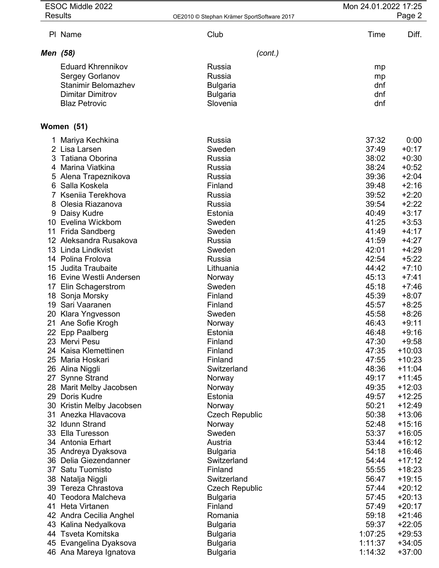|                       | ESOC Middle 2022<br><b>Results</b>                    | OE2010 © Stephan Krämer SportSoftware 2017 | Mon 24.01.2022 17:25 | Page 2               |
|-----------------------|-------------------------------------------------------|--------------------------------------------|----------------------|----------------------|
|                       | PI Name                                               | Club                                       | Time                 | Diff.                |
| Men (58)              |                                                       | (cont.)                                    |                      |                      |
|                       | <b>Eduard Khrennikov</b>                              | Russia                                     | mp                   |                      |
|                       | Sergey Gorlanov                                       | Russia                                     | mp                   |                      |
|                       | <b>Stanimir Belomazhev</b><br><b>Dimitar Dimitrov</b> | <b>Bulgaria</b><br><b>Bulgaria</b>         | dnf<br>dnf           |                      |
|                       | <b>Blaz Petrovic</b>                                  | Slovenia                                   | dnf                  |                      |
|                       | Women (51)                                            |                                            |                      |                      |
|                       | 1 Mariya Kechkina                                     | Russia                                     | 37:32                | 0:00                 |
|                       | 2 Lisa Larsen                                         | Sweden                                     | 37:49                | $+0:17$              |
|                       | 3 Tatiana Oborina<br>4 Marina Viatkina                | Russia<br>Russia                           | 38:02<br>38:24       | $+0:30$<br>$+0:52$   |
|                       | 5 Alena Trapeznikova                                  | Russia                                     | 39:36                | $+2:04$              |
|                       | 6 Salla Koskela                                       | Finland                                    | 39:48                | $+2:16$              |
|                       | Kseniia Terekhova<br>8 Olesia Riazanova               | Russia<br>Russia                           | 39:52<br>39:54       | $+2:20$<br>$+2:22$   |
|                       | 9 Daisy Kudre                                         | Estonia                                    | 40:49                | $+3:17$              |
|                       | 10 Evelina Wickbom                                    | Sweden                                     | 41:25                | $+3:53$              |
| 11<br>12 <sup>°</sup> | Frida Sandberg<br>Aleksandra Rusakova                 | Sweden<br>Russia                           | 41:49<br>41:59       | $+4:17$<br>$+4:27$   |
|                       | 13 Linda Lindkvist                                    | Sweden                                     | 42:01                | $+4:29$              |
|                       | 14 Polina Frolova                                     | Russia                                     | 42:54                | $+5:22$              |
| 15                    | Judita Traubaite<br>16 Evine Westli Andersen          | Lithuania<br>Norway                        | 44:42<br>45:13       | $+7:10$<br>$+7:41$   |
|                       | 17 Elin Schagerstrom                                  | Sweden                                     | 45:18                | $+7:46$              |
|                       | 18 Sonja Morsky                                       | Finland                                    | 45:39                | $+8:07$              |
| 19<br>20              | Sari Vaaranen<br>Klara Yngvesson                      | Finland<br>Sweden                          | 45:57<br>45:58       | $+8:25$<br>$+8:26$   |
|                       | 21 Ane Sofie Krogh                                    | Norway                                     | 46:43                | $+9:11$              |
|                       | 22 Epp Paalberg                                       | Estonia                                    | 46:48                | $+9:16$              |
|                       | 23 Mervi Pesu<br>24 Kaisa Klemettinen                 | Finland<br>Finland                         | 47:30<br>47:35       | $+9:58$<br>$+10:03$  |
|                       | 25 Maria Hoskari                                      | Finland                                    | 47:55                | $+10:23$             |
| 26                    | Alina Niggli                                          | Switzerland                                | 48:36                | $+11:04$             |
|                       | <b>Synne Strand</b><br>28 Marit Melby Jacobsen        | Norway<br>Norway                           | 49:17<br>49:35       | $+11:45$<br>$+12:03$ |
| 29                    | Doris Kudre                                           | Estonia                                    | 49:57                | $+12:25$             |
|                       | 30 Kristin Melby Jacobsen                             | Norway                                     | 50:21                | $+12:49$             |
|                       | 31 Anezka Hlavacova<br>32 Idunn Strand                | <b>Czech Republic</b>                      | 50:38<br>52:48       | $+13:06$<br>$+15:16$ |
|                       | 33 Ella Turesson                                      | Norway<br>Sweden                           | 53:37                | $+16:05$             |
|                       | 34 Antonia Erhart                                     | Austria                                    | 53:44                | $+16:12$             |
|                       | 35 Andreya Dyaksova                                   | <b>Bulgaria</b>                            | 54:18                | $+16:46$             |
| 37                    | 36 Delia Giezendanner<br>Satu Tuomisto                | Switzerland<br>Finland                     | 54:44<br>55:55       | $+17:12$<br>$+18:23$ |
|                       | 38 Natalja Niggli                                     | Switzerland                                | 56:47                | $+19:15$             |
| 39                    | Tereza Chrastova                                      | <b>Czech Republic</b>                      | 57:44                | $+20:12$             |
| 40<br>41              | Teodora Malcheva<br>Heta Virtanen                     | <b>Bulgaria</b><br>Finland                 | 57:45<br>57:49       | $+20:13$<br>$+20:17$ |
| 42                    | Andra Cecilia Anghel                                  | Romania                                    | 59:18                | $+21:46$             |
| 43                    | Kalina Nedyalkova                                     | <b>Bulgaria</b>                            | 59:37                | $+22:05$             |
| 44                    | Tsveta Komitska                                       | <b>Bulgaria</b>                            | 1:07:25              | $+29:53$             |
|                       | 45 Evangelina Dyaksova<br>46 Ana Mareya Ignatova      | <b>Bulgaria</b><br><b>Bulgaria</b>         | 1:11:37<br>1:14:32   | $+34:05$<br>$+37:00$ |
|                       |                                                       |                                            |                      |                      |